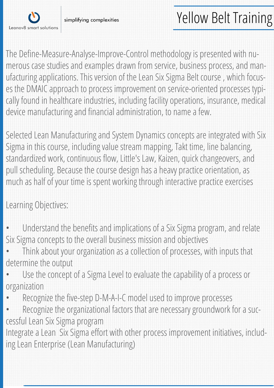

simplifying complexities

The Define-Measure-Analyse-Improve-Control methodology is presented with numerous case studies and examples drawn from service, business process, and manufacturing applications. This version of the Lean Six Sigma Belt course , which focuses the DMAIC approach to process improvement on service-oriented processes typically found in healthcare industries, including facility operations, insurance, medical device manufacturing and financial administration, to name a few.

Selected Lean Manufacturing and System Dynamics concepts are integrated with Six Sigma in this course, including value stream mapping, Takt time, line balancing, standardized work, continuous flow, Little's Law, Kaizen, quick changeovers, and pull scheduling. Because the course design has a heavy practice orientation, as much as half of your time is spent working through interactive practice exercises

Learning Objectives:

- Understand the benefits and implications of a Six Sigma program, and relate Six Sigma concepts to the overall business mission and objectives
- Think about your organization as a collection of processes, with inputs that determine the output
- Use the concept of a Sigma Level to evaluate the capability of a process or organization
- Recognize the five-step D-M-A-I-C model used to improve processes
- Recognize the organizational factors that are necessary groundwork for a successful Lean Six Sigma program

Integrate a Lean Six Sigma effort with other process improvement initiatives, including Lean Enterprise (Lean Manufacturing)